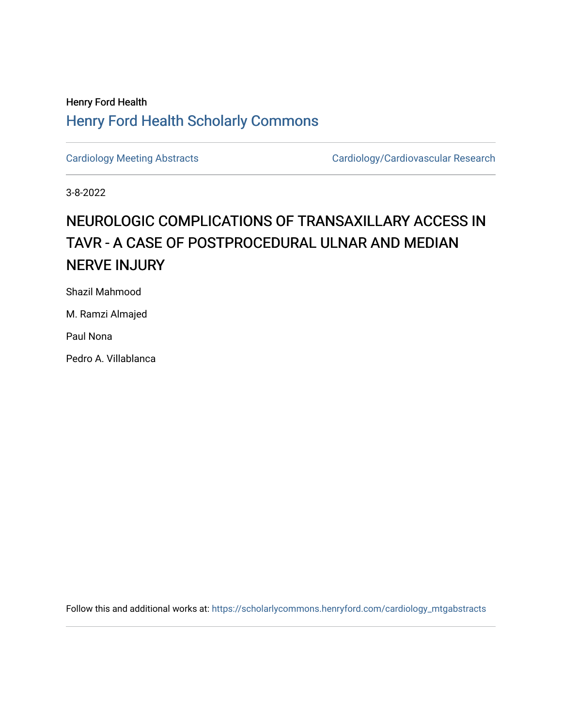## Henry Ford Health [Henry Ford Health Scholarly Commons](https://scholarlycommons.henryford.com/)

[Cardiology Meeting Abstracts](https://scholarlycommons.henryford.com/cardiology_mtgabstracts) Cardiology/Cardiovascular Research

3-8-2022

## NEUROLOGIC COMPLICATIONS OF TRANSAXILLARY ACCESS IN TAVR - A CASE OF POSTPROCEDURAL ULNAR AND MEDIAN NERVE INJURY

Shazil Mahmood

M. Ramzi Almajed

Paul Nona

Pedro A. Villablanca

Follow this and additional works at: [https://scholarlycommons.henryford.com/cardiology\\_mtgabstracts](https://scholarlycommons.henryford.com/cardiology_mtgabstracts?utm_source=scholarlycommons.henryford.com%2Fcardiology_mtgabstracts%2F332&utm_medium=PDF&utm_campaign=PDFCoverPages)